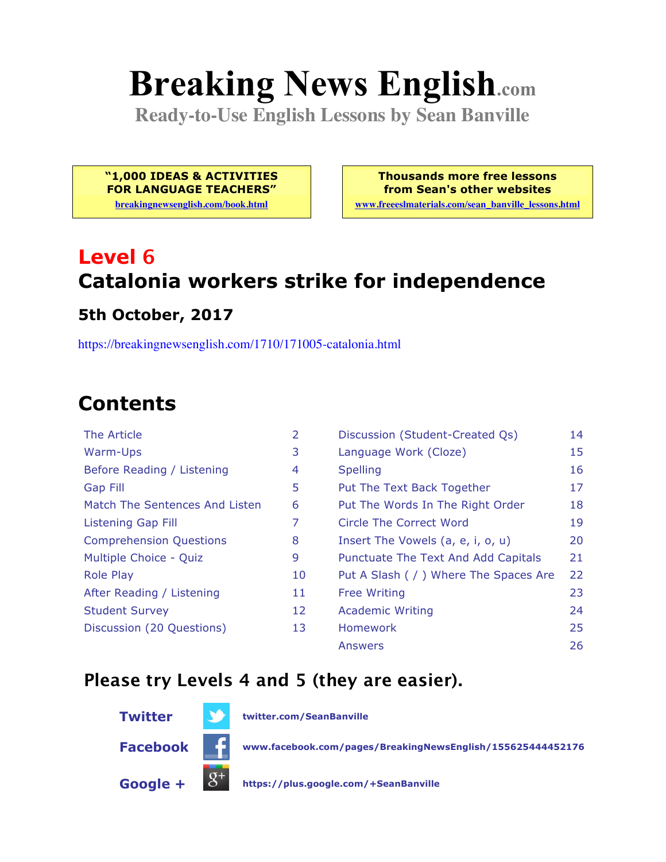# **Breaking News English.com**

**Ready-to-Use English Lessons by Sean Banville**

**"1,000 IDEAS & ACTIVITIES FOR LANGUAGE TEACHERS"**

**breakingnewsenglish.com/book.html**

**Thousands more free lessons from Sean's other websites www.freeeslmaterials.com/sean\_banville\_lessons.html**

# **Level 6 Catalonia workers strike for independence**

#### **5th October, 2017**

https://breakingnewsenglish.com/1710/171005-catalonia.html

## **Contents**

| The Article                    | 2  | Discussion (Student-Created Qs)        | 14 |
|--------------------------------|----|----------------------------------------|----|
| Warm-Ups                       | 3  | Language Work (Cloze)                  | 15 |
| Before Reading / Listening     | 4  | <b>Spelling</b>                        | 16 |
| Gap Fill                       | 5  | Put The Text Back Together             | 17 |
| Match The Sentences And Listen | 6  | Put The Words In The Right Order       | 18 |
| <b>Listening Gap Fill</b>      | 7  | Circle The Correct Word                | 19 |
| <b>Comprehension Questions</b> | 8  | Insert The Vowels (a, e, i, o, u)      | 20 |
| Multiple Choice - Quiz         | 9  | Punctuate The Text And Add Capitals    | 21 |
| <b>Role Play</b>               | 10 | Put A Slash ( / ) Where The Spaces Are | 22 |
| After Reading / Listening      | 11 | <b>Free Writing</b>                    | 23 |
| <b>Student Survey</b>          | 12 | <b>Academic Writing</b>                | 24 |
| Discussion (20 Questions)      | 13 | <b>Homework</b>                        | 25 |
|                                |    | <b>Answers</b>                         | 26 |

#### **Please try Levels 4 and 5 (they are easier).**



**Twitter twitter.com/SeanBanville**

**Facebook www.facebook.com/pages/BreakingNewsEnglish/155625444452176**

**Google + https://plus.google.com/+SeanBanville**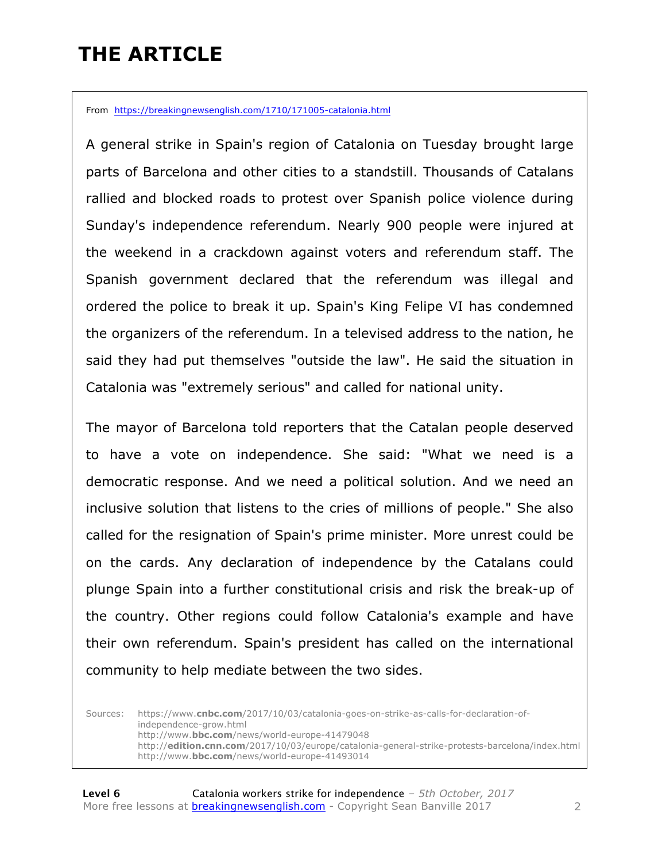# **THE ARTICLE**

From https://breakingnewsenglish.com/1710/171005-catalonia.html

A general strike in Spain's region of Catalonia on Tuesday brought large parts of Barcelona and other cities to a standstill. Thousands of Catalans rallied and blocked roads to protest over Spanish police violence during Sunday's independence referendum. Nearly 900 people were injured at the weekend in a crackdown against voters and referendum staff. The Spanish government declared that the referendum was illegal and ordered the police to break it up. Spain's King Felipe VI has condemned the organizers of the referendum. In a televised address to the nation, he said they had put themselves "outside the law". He said the situation in Catalonia was "extremely serious" and called for national unity.

The mayor of Barcelona told reporters that the Catalan people deserved to have a vote on independence. She said: "What we need is a democratic response. And we need a political solution. And we need an inclusive solution that listens to the cries of millions of people." She also called for the resignation of Spain's prime minister. More unrest could be on the cards. Any declaration of independence by the Catalans could plunge Spain into a further constitutional crisis and risk the break-up of the country. Other regions could follow Catalonia's example and have their own referendum. Spain's president has called on the international community to help mediate between the two sides.

Sources: https://www.**cnbc.com**/2017/10/03/catalonia-goes-on-strike-as-calls-for-declaration-ofindependence-grow.html http://www.**bbc.com**/news/world-europe-41479048 http://**edition.cnn.com**/2017/10/03/europe/catalonia-general-strike-protests-barcelona/index.html http://www.**bbc.com**/news/world-europe-41493014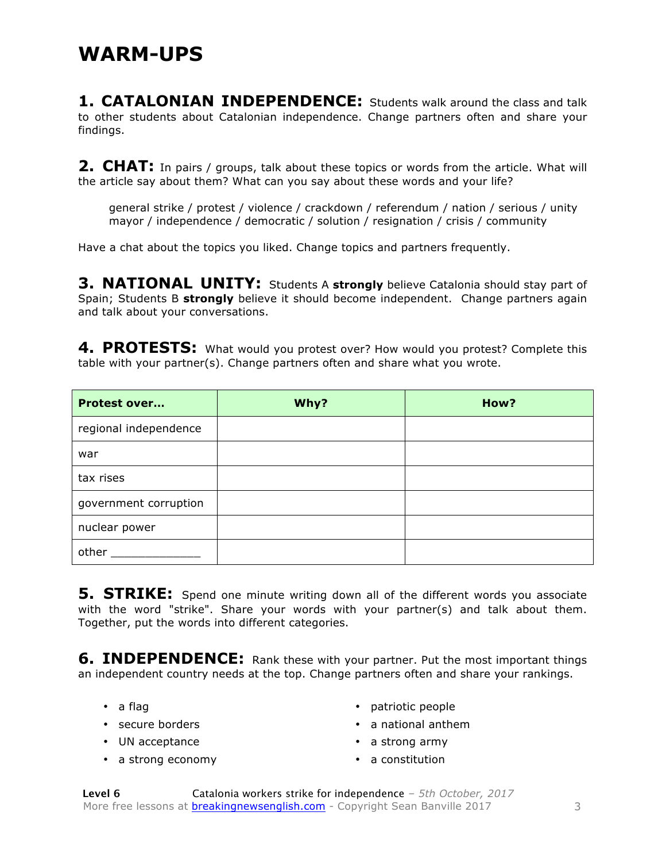**1. CATALONIAN INDEPENDENCE:** Students walk around the class and talk to other students about Catalonian independence. Change partners often and share your findings.

**2. CHAT:** In pairs / groups, talk about these topics or words from the article. What will the article say about them? What can you say about these words and your life?

general strike / protest / violence / crackdown / referendum / nation / serious / unity mayor / independence / democratic / solution / resignation / crisis / community

Have a chat about the topics you liked. Change topics and partners frequently.

**3. NATIONAL UNITY:** Students A strongly believe Catalonia should stay part of Spain; Students B **strongly** believe it should become independent. Change partners again and talk about your conversations.

4. PROTESTS: What would you protest over? How would you protest? Complete this table with your partner(s). Change partners often and share what you wrote.

| <b>Protest over</b>   | Why? | How? |
|-----------------------|------|------|
| regional independence |      |      |
| war                   |      |      |
| tax rises             |      |      |
| government corruption |      |      |
| nuclear power         |      |      |
| other                 |      |      |

**5. STRIKE:** Spend one minute writing down all of the different words you associate with the word "strike". Share your words with your partner(s) and talk about them. Together, put the words into different categories.

**6. INDEPENDENCE:** Rank these with your partner. Put the most important things an independent country needs at the top. Change partners often and share your rankings.

- a flag
- secure borders
- UN acceptance
- a strong economy
- patriotic people
- a national anthem
- a strong army
- a constitution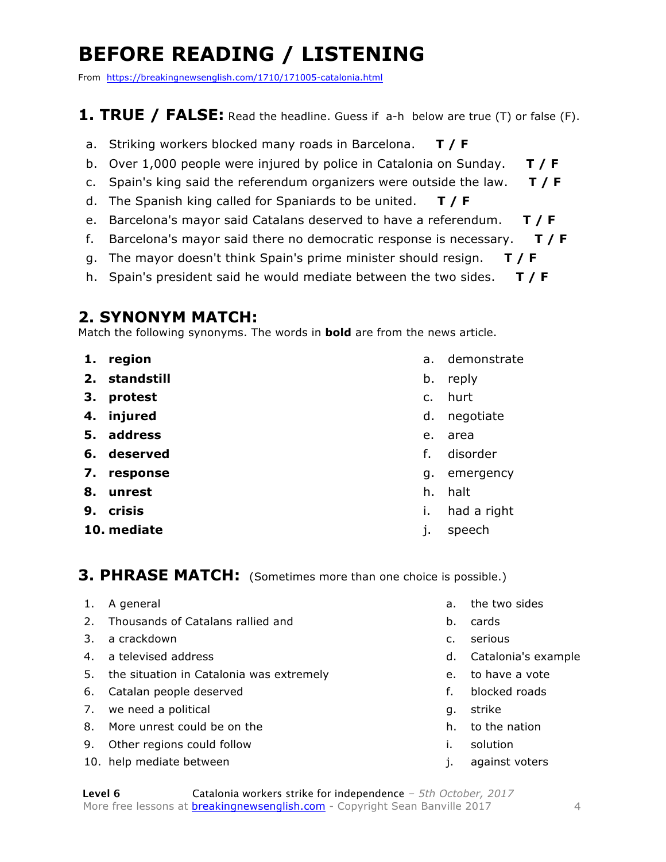# **BEFORE READING / LISTENING**

From https://breakingnewsenglish.com/1710/171005-catalonia.html

#### **1. TRUE / FALSE:** Read the headline. Guess if a-h below are true (T) or false (F).

- a. Striking workers blocked many roads in Barcelona. **T / F**
- b. Over 1,000 people were injured by police in Catalonia on Sunday. **T / F**
- c. Spain's king said the referendum organizers were outside the law. **T / F**
- d. The Spanish king called for Spaniards to be united. **T / F**
- e. Barcelona's mayor said Catalans deserved to have a referendum. **T / F**
- f. Barcelona's mayor said there no democratic response is necessary. **T / F**
- g. The mayor doesn't think Spain's prime minister should resign. **T / F**
- h. Spain's president said he would mediate between the two sides. **T / F**

#### **2. SYNONYM MATCH:**

Match the following synonyms. The words in **bold** are from the news article.

- **1. region**
- **2. standstill**
- **3. protest**
- **4. injured**
- **5. address**
- **6. deserved**
- **7. response**
- **8. unrest**
- **9. crisis**
- **10. mediate**
- a. demonstrate
- b. reply
- c. hurt
- d. negotiate
- e. area
- f. disorder
- g. emergency
- h. halt
- i. had a right
- j. speech

#### **3. PHRASE MATCH:** (Sometimes more than one choice is possible.)

- 1. A general
- 2. Thousands of Catalans rallied and
- 3. a crackdown
- 4. a televised address
- 5. the situation in Catalonia was extremely
- 6. Catalan people deserved
- 7. we need a political
- 8. More unrest could be on the
- 9. Other regions could follow
- 10. help mediate between
- a. the two sides
- b. cards
- c. serious
- d. Catalonia's example
- e. to have a vote
- f. blocked roads
- g. strike
- h. to the nation
- i. solution
- j. against voters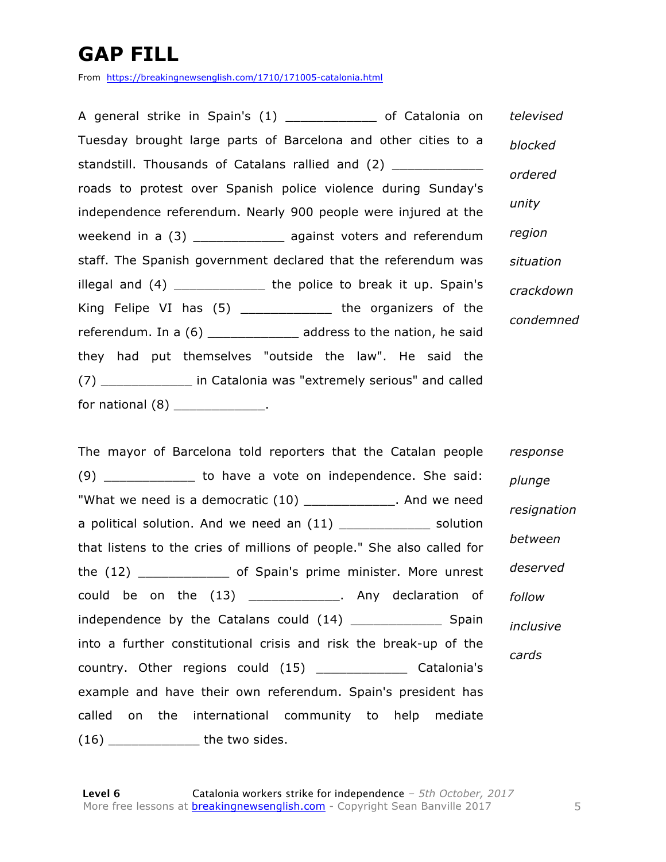# **GAP FILL**

From https://breakingnewsenglish.com/1710/171005-catalonia.html

A general strike in Spain's (1) \_\_\_\_\_\_\_\_\_\_\_\_ of Catalonia on Tuesday brought large parts of Barcelona and other cities to a standstill. Thousands of Catalans rallied and (2) roads to protest over Spanish police violence during Sunday's independence referendum. Nearly 900 people were injured at the weekend in a (3) \_\_\_\_\_\_\_\_\_\_\_\_\_\_\_ against voters and referendum staff. The Spanish government declared that the referendum was illegal and (4) \_\_\_\_\_\_\_\_\_\_\_\_\_\_\_ the police to break it up. Spain's King Felipe VI has (5) \_\_\_\_\_\_\_\_\_\_\_\_\_ the organizers of the referendum. In a (6) and address to the nation, he said they had put themselves "outside the law". He said the (7) \_\_\_\_\_\_\_\_\_\_\_\_ in Catalonia was "extremely serious" and called for national (8) \_\_\_\_\_\_\_\_\_\_\_\_\_\_. *televised blocked ordered unity region situation crackdown condemned*

The mayor of Barcelona told reporters that the Catalan people (9) b to have a vote on independence. She said: "What we need is a democratic (10) \_\_\_\_\_\_\_\_\_\_\_\_. And we need a political solution. And we need an  $(11)$  \_\_\_\_\_\_\_\_\_\_\_\_\_ solution that listens to the cries of millions of people." She also called for the (12) \_\_\_\_\_\_\_\_\_\_\_\_ of Spain's prime minister. More unrest could be on the (13) \_\_\_\_\_\_\_\_\_\_\_\_\_\_. Any declaration of independence by the Catalans could (14) Spain into a further constitutional crisis and risk the break-up of the country. Other regions could (15) \_\_\_\_\_\_\_\_\_\_\_\_ Catalonia's example and have their own referendum. Spain's president has called on the international community to help mediate (16) \_\_\_\_\_\_\_\_\_\_\_\_ the two sides. *response plunge resignation between deserved follow inclusive cards*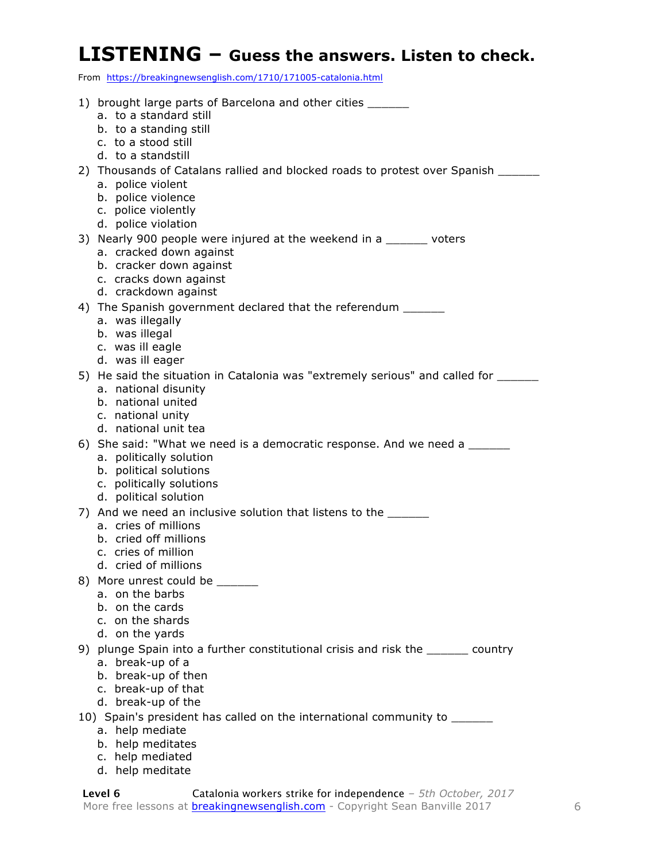#### **LISTENING – Guess the answers. Listen to check.**

From https://breakingnewsenglish.com/1710/171005-catalonia.html

| 1) brought large parts of Barcelona and other cities _______<br>a. to a standard still<br>b. to a standing still<br>c. to a stood still<br>d. to a standstill                        |
|--------------------------------------------------------------------------------------------------------------------------------------------------------------------------------------|
| 2) Thousands of Catalans rallied and blocked roads to protest over Spanish ______<br>a. police violent<br>b. police violence<br>c. police violently<br>d. police violation           |
| 3) Nearly 900 people were injured at the weekend in a ______ voters<br>a. cracked down against<br>b. cracker down against<br>c. cracks down against<br>d. crackdown against          |
| 4) The Spanish government declared that the referendum ______<br>a. was illegally<br>b. was illegal<br>c. was ill eagle<br>d. was ill eager                                          |
| 5) He said the situation in Catalonia was "extremely serious" and called for ________<br>a. national disunity<br>b. national united<br>c. national unity<br>d. national unit tea     |
| 6) She said: "What we need is a democratic response. And we need a _______<br>a. politically solution<br>b. political solutions<br>c. politically solutions<br>d. political solution |
| 7) And we need an inclusive solution that listens to the ______<br>a. cries of millions<br>b. cried off millions<br>c. cries of million<br>d. cried of millions                      |
| 8) More unrest could be ______<br>a. on the barbs<br>b. on the cards<br>c. on the shards<br>d. on the yards                                                                          |
| 9) plunge Spain into a further constitutional crisis and risk the _______ country<br>a. break-up of a<br>b. break-up of then<br>c. break-up of that<br>d. break-up of the            |
| 10) Spain's president has called on the international community to _______                                                                                                           |
| a. help mediate                                                                                                                                                                      |
| b. help meditates                                                                                                                                                                    |
| c. help mediated<br>d. help meditate                                                                                                                                                 |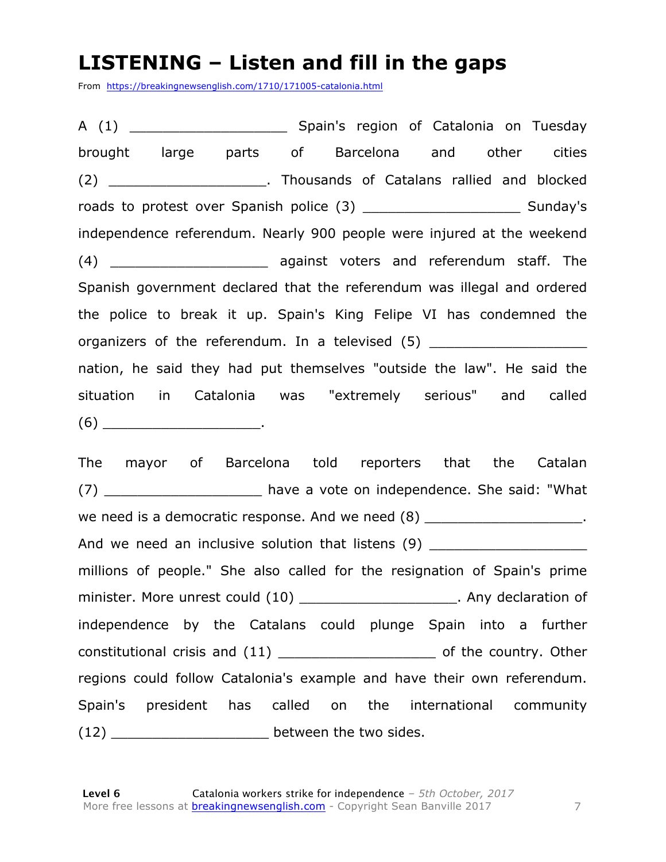#### **LISTENING – Listen and fill in the gaps**

From https://breakingnewsenglish.com/1710/171005-catalonia.html

A (1) \_\_\_\_\_\_\_\_\_\_\_\_\_\_\_\_\_\_\_ Spain's region of Catalonia on Tuesday brought large parts of Barcelona and other cities (2) Thousands of Catalans rallied and blocked roads to protest over Spanish police (3) \_\_\_\_\_\_\_\_\_\_\_\_\_\_\_\_\_\_\_\_\_\_\_\_\_\_ Sunday's independence referendum. Nearly 900 people were injured at the weekend (4) **Example 2** against voters and referendum staff. The Spanish government declared that the referendum was illegal and ordered the police to break it up. Spain's King Felipe VI has condemned the organizers of the referendum. In a televised (5) nation, he said they had put themselves "outside the law". He said the situation in Catalonia was "extremely serious" and called  $(6)$  .

The mayor of Barcelona told reporters that the Catalan (7) \_\_\_\_\_\_\_\_\_\_\_\_\_\_\_\_\_\_\_ have a vote on independence. She said: "What we need is a democratic response. And we need (8)  $\qquad \qquad$ And we need an inclusive solution that listens (9) \_\_\_\_\_\_\_\_\_\_\_\_\_\_\_\_\_\_\_\_\_\_\_\_\_\_\_\_\_ millions of people." She also called for the resignation of Spain's prime minister. More unrest could (10) \_\_\_\_\_\_\_\_\_\_\_\_\_\_\_\_\_\_\_\_\_\_\_\_. Any declaration of independence by the Catalans could plunge Spain into a further constitutional crisis and (11) \_\_\_\_\_\_\_\_\_\_\_\_\_\_\_\_\_\_\_ of the country. Other regions could follow Catalonia's example and have their own referendum. Spain's president has called on the international community (12) \_\_\_\_\_\_\_\_\_\_\_\_\_\_\_\_\_\_\_ between the two sides.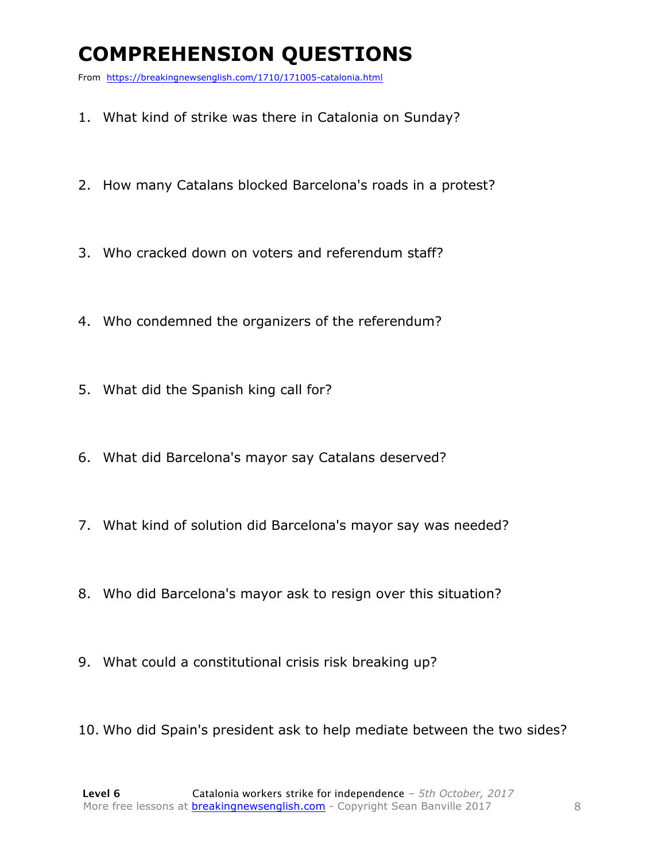# **COMPREHENSION QUESTIONS**

From https://breakingnewsenglish.com/1710/171005-catalonia.html

- 1. What kind of strike was there in Catalonia on Sunday?
- 2. How many Catalans blocked Barcelona's roads in a protest?
- 3. Who cracked down on voters and referendum staff?
- 4. Who condemned the organizers of the referendum?
- 5. What did the Spanish king call for?
- 6. What did Barcelona's mayor say Catalans deserved?
- 7. What kind of solution did Barcelona's mayor say was needed?
- 8. Who did Barcelona's mayor ask to resign over this situation?
- 9. What could a constitutional crisis risk breaking up?
- 10. Who did Spain's president ask to help mediate between the two sides?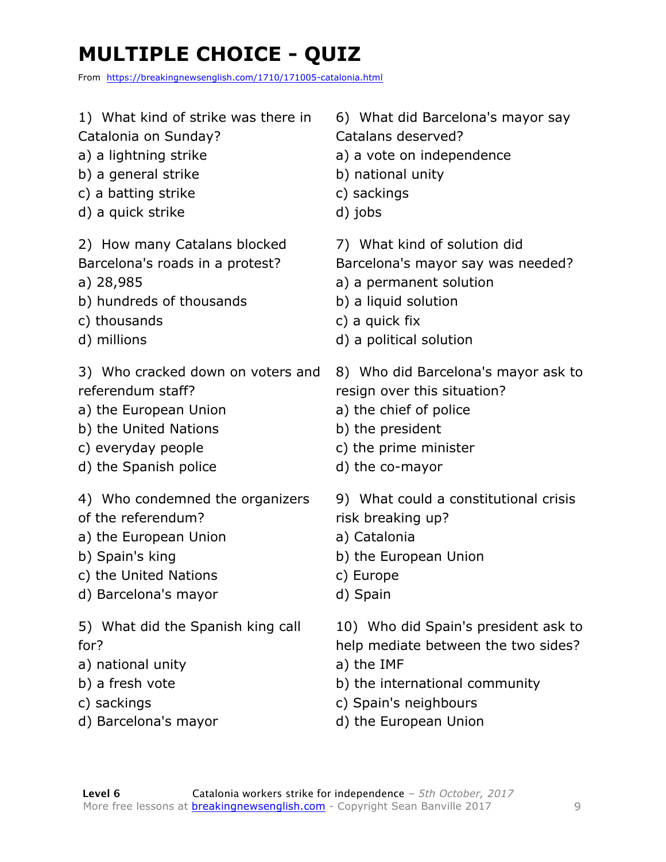# **MULTIPLE CHOICE - QUIZ**

From https://breakingnewsenglish.com/1710/171005-catalonia.html

1) What kind of strike was there in Catalonia on Sunday? a) a lightning strike b) a general strike c) a batting strike d) a quick strike 2) How many Catalans blocked Barcelona's roads in a protest? a) 28,985 b) hundreds of thousands c) thousands d) millions 3) Who cracked down on voters and referendum staff? a) the European Union b) the United Nations c) everyday people d) the Spanish police 4) Who condemned the organizers of the referendum? a) the European Union b) Spain's king c) the United Nations d) Barcelona's mayor 5) What did the Spanish king call for? a) national unity b) a fresh vote c) sackings d) Barcelona's mayor 6) What did Barcelona's mayor say Catalans deserved? a) a vote on independence b) national unity c) sackings d) jobs 7) What kind of solution did Barcelona's mayor say was needed? a) a permanent solution b) a liquid solution c) a quick fix d) a political solution 8) Who did Barcelona's mayor ask to resign over this situation? a) the chief of police b) the president c) the prime minister d) the co-mayor 9) What could a constitutional crisis risk breaking up? a) Catalonia b) the European Union c) Europe d) Spain 10) Who did Spain's president ask to help mediate between the two sides? a) the IMF b) the international community c) Spain's neighbours d) the European Union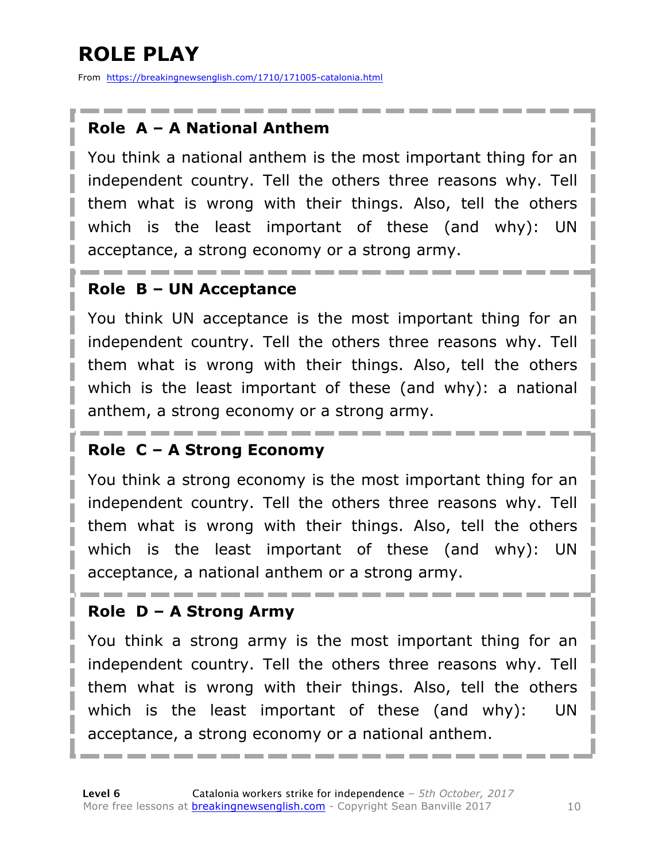# **ROLE PLAY**

From https://breakingnewsenglish.com/1710/171005-catalonia.html

#### **Role A – A National Anthem**

You think a national anthem is the most important thing for an independent country. Tell the others three reasons why. Tell them what is wrong with their things. Also, tell the others which is the least important of these (and why): UN acceptance, a strong economy or a strong army.

#### **Role B – UN Acceptance**

You think UN acceptance is the most important thing for an independent country. Tell the others three reasons why. Tell them what is wrong with their things. Also, tell the others which is the least important of these (and why): a national anthem, a strong economy or a strong army.

#### **Role C – A Strong Economy**

You think a strong economy is the most important thing for an independent country. Tell the others three reasons why. Tell them what is wrong with their things. Also, tell the others which is the least important of these (and why): UN acceptance, a national anthem or a strong army.

#### **Role D – A Strong Army**

You think a strong army is the most important thing for an independent country. Tell the others three reasons why. Tell them what is wrong with their things. Also, tell the others which is the least important of these (and why): UN acceptance, a strong economy or a national anthem.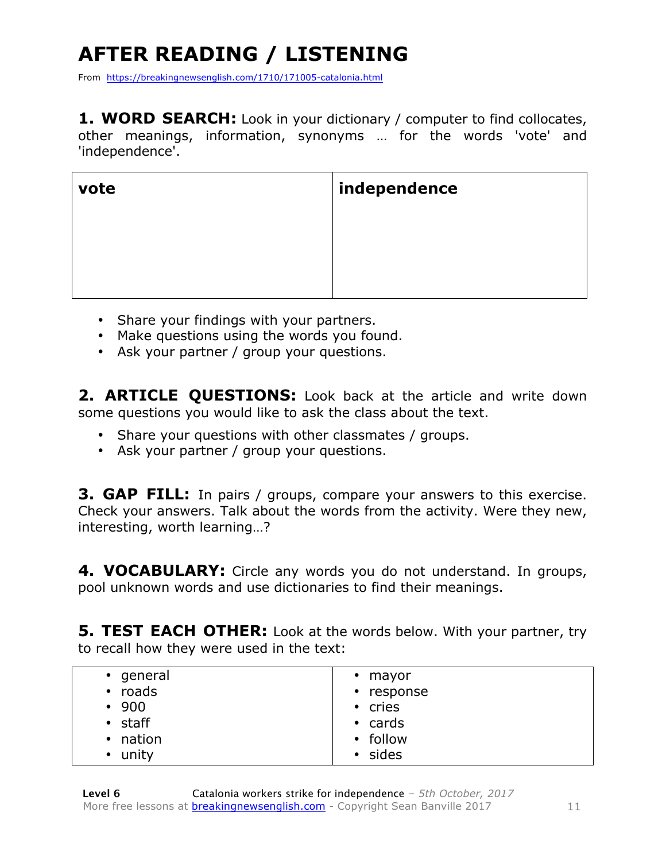# **AFTER READING / LISTENING**

From https://breakingnewsenglish.com/1710/171005-catalonia.html

**1. WORD SEARCH:** Look in your dictionary / computer to find collocates, other meanings, information, synonyms … for the words 'vote' and 'independence'.

| vote | independence |
|------|--------------|
|      |              |
|      |              |
|      |              |

- Share your findings with your partners.
- Make questions using the words you found.
- Ask your partner / group your questions.

2. **ARTICLE QUESTIONS:** Look back at the article and write down some questions you would like to ask the class about the text.

- Share your questions with other classmates / groups.
- Ask your partner / group your questions.

**3. GAP FILL:** In pairs / groups, compare your answers to this exercise. Check your answers. Talk about the words from the activity. Were they new, interesting, worth learning…?

**4. VOCABULARY:** Circle any words you do not understand. In groups, pool unknown words and use dictionaries to find their meanings.

**5. TEST EACH OTHER:** Look at the words below. With your partner, try to recall how they were used in the text:

| • general          | $\cdot$ mayor |
|--------------------|---------------|
| roads<br>$\bullet$ | • response    |
| • 900              | • cries       |
| $\cdot$ staff      | $\cdot$ cards |
| • nation           | • follow      |
| • unity            | • sides       |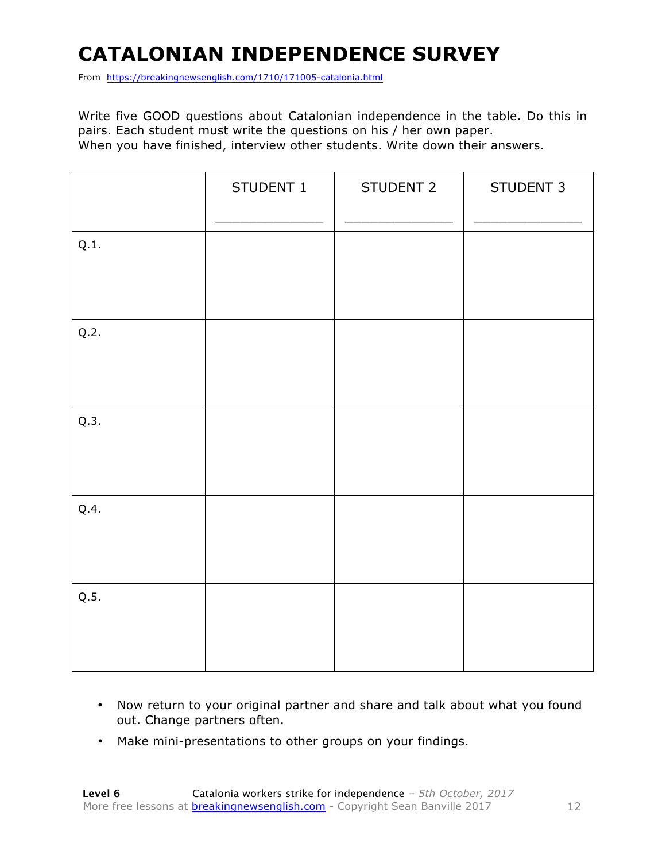# **CATALONIAN INDEPENDENCE SURVEY**

From https://breakingnewsenglish.com/1710/171005-catalonia.html

Write five GOOD questions about Catalonian independence in the table. Do this in pairs. Each student must write the questions on his / her own paper. When you have finished, interview other students. Write down their answers.

|      | STUDENT 1 | STUDENT 2 | STUDENT 3 |
|------|-----------|-----------|-----------|
| Q.1. |           |           |           |
| Q.2. |           |           |           |
| Q.3. |           |           |           |
| Q.4. |           |           |           |
| Q.5. |           |           |           |

- Now return to your original partner and share and talk about what you found out. Change partners often.
- Make mini-presentations to other groups on your findings.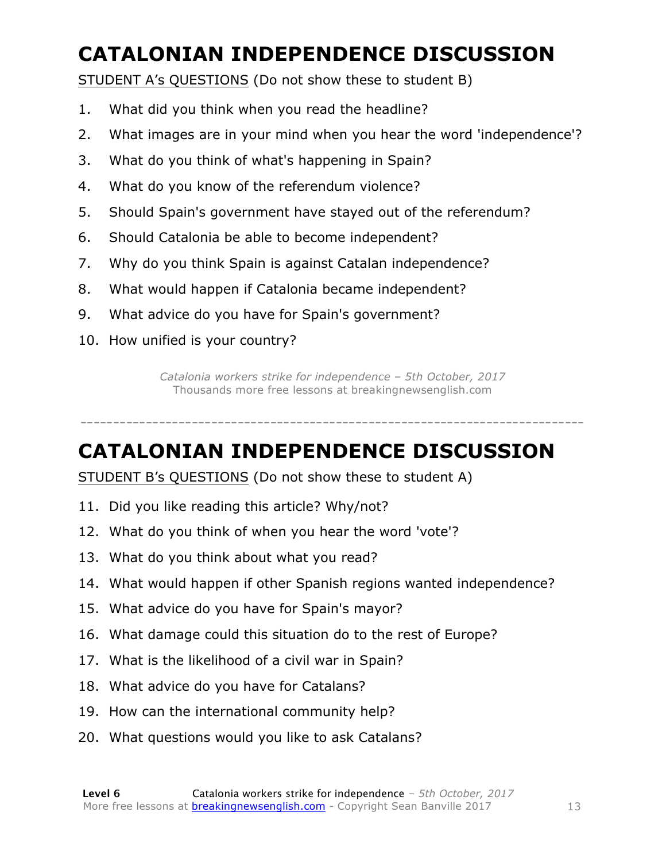# **CATALONIAN INDEPENDENCE DISCUSSION**

STUDENT A's QUESTIONS (Do not show these to student B)

- 1. What did you think when you read the headline?
- 2. What images are in your mind when you hear the word 'independence'?
- 3. What do you think of what's happening in Spain?
- 4. What do you know of the referendum violence?
- 5. Should Spain's government have stayed out of the referendum?
- 6. Should Catalonia be able to become independent?
- 7. Why do you think Spain is against Catalan independence?
- 8. What would happen if Catalonia became independent?
- 9. What advice do you have for Spain's government?
- 10. How unified is your country?

*Catalonia workers strike for independence – 5th October, 2017* Thousands more free lessons at breakingnewsenglish.com

-----------------------------------------------------------------------------

**CATALONIAN INDEPENDENCE DISCUSSION**

STUDENT B's QUESTIONS (Do not show these to student A)

- 11. Did you like reading this article? Why/not?
- 12. What do you think of when you hear the word 'vote'?
- 13. What do you think about what you read?
- 14. What would happen if other Spanish regions wanted independence?
- 15. What advice do you have for Spain's mayor?
- 16. What damage could this situation do to the rest of Europe?
- 17. What is the likelihood of a civil war in Spain?
- 18. What advice do you have for Catalans?
- 19. How can the international community help?
- 20. What questions would you like to ask Catalans?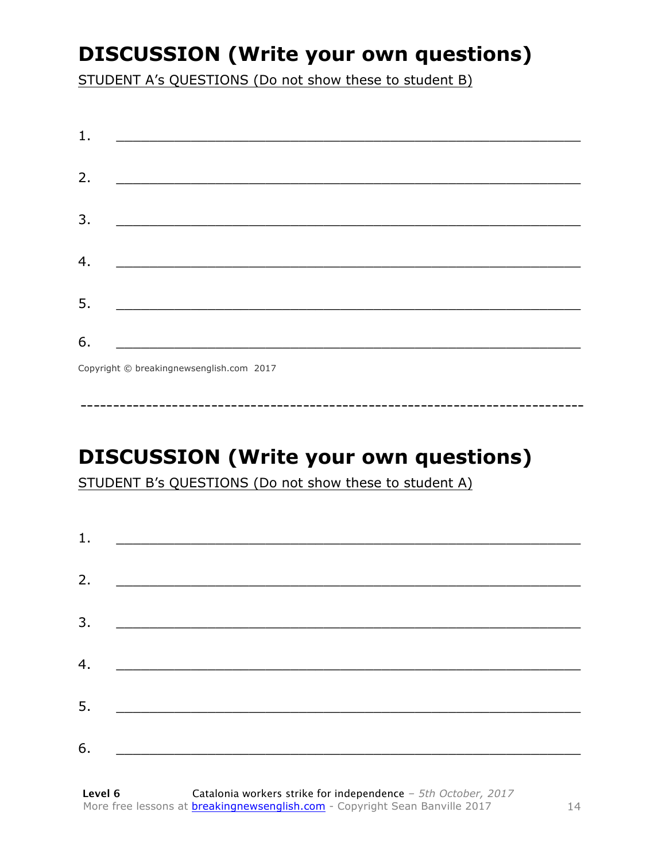### **DISCUSSION (Write your own questions)**

STUDENT A's QUESTIONS (Do not show these to student B)

| 1. | <u> Andreas Andreas Andreas Andreas Andreas Andreas Andreas Andreas Andreas Andreas Andreas Andreas Andreas Andr</u> |                                                                                                                      |  |  |
|----|----------------------------------------------------------------------------------------------------------------------|----------------------------------------------------------------------------------------------------------------------|--|--|
| 2. |                                                                                                                      |                                                                                                                      |  |  |
| 3. | <u> 1980 - Jan Barnett, fransk politiker (d. 1980)</u>                                                               |                                                                                                                      |  |  |
| 4. |                                                                                                                      | <u> 1980 - Johann Barn, mars ar breithinn ar breithinn ar breithinn ar breithinn ar breithinn ar breithinn ar br</u> |  |  |
| 5. |                                                                                                                      |                                                                                                                      |  |  |
| 6. | <u> 1989 - Jan Samuel Barbara, margaret e</u>                                                                        |                                                                                                                      |  |  |

Copyright © breakingnewsenglish.com 2017

# **DISCUSSION (Write your own questions)**

STUDENT B's QUESTIONS (Do not show these to student A)

| 1. |                                                      |  |  |
|----|------------------------------------------------------|--|--|
|    |                                                      |  |  |
| 2. |                                                      |  |  |
| 3. |                                                      |  |  |
|    |                                                      |  |  |
| 4. |                                                      |  |  |
| 5. | <u> 1989 - Johann Stoff, Amerikaansk politiker (</u> |  |  |
|    |                                                      |  |  |
| 6. |                                                      |  |  |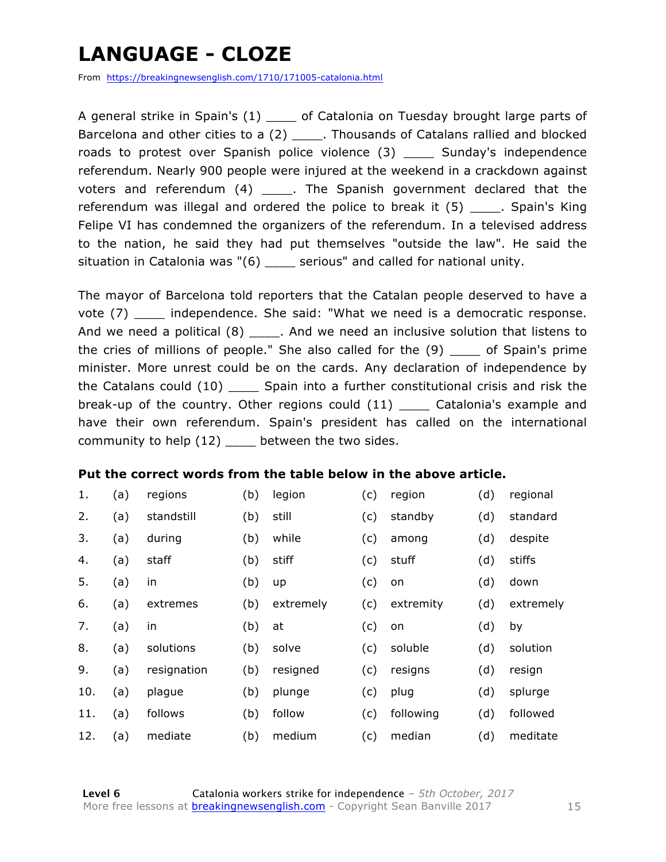### **LANGUAGE - CLOZE**

From https://breakingnewsenglish.com/1710/171005-catalonia.html

A general strike in Spain's (1) \_\_\_\_\_ of Catalonia on Tuesday brought large parts of Barcelona and other cities to a (2) \_\_\_\_. Thousands of Catalans rallied and blocked roads to protest over Spanish police violence (3) \_\_\_\_ Sunday's independence referendum. Nearly 900 people were injured at the weekend in a crackdown against voters and referendum (4) \_\_\_\_. The Spanish government declared that the referendum was illegal and ordered the police to break it (5) \_\_\_\_\_. Spain's King Felipe VI has condemned the organizers of the referendum. In a televised address to the nation, he said they had put themselves "outside the law". He said the situation in Catalonia was "(6) \_\_\_\_ serious" and called for national unity.

The mayor of Barcelona told reporters that the Catalan people deserved to have a vote (7) \_\_\_\_ independence. She said: "What we need is a democratic response. And we need a political  $(8)$  \_\_\_\_\_. And we need an inclusive solution that listens to the cries of millions of people." She also called for the (9) \_\_\_\_ of Spain's prime minister. More unrest could be on the cards. Any declaration of independence by the Catalans could (10) \_\_\_\_ Spain into a further constitutional crisis and risk the break-up of the country. Other regions could (11) \_\_\_\_\_ Catalonia's example and have their own referendum. Spain's president has called on the international community to help (12) \_\_\_\_ between the two sides.

#### **Put the correct words from the table below in the above article.**

| 1.  | (a) | regions     | (b) | legion    | (c) | region    | (d) | regional  |
|-----|-----|-------------|-----|-----------|-----|-----------|-----|-----------|
| 2.  | (a) | standstill  | (b) | still     | (c) | standby   | (d) | standard  |
| 3.  | (a) | during      | (b) | while     | (c) | among     | (d) | despite   |
| 4.  | (a) | staff       | (b) | stiff     | (c) | stuff     | (d) | stiffs    |
| 5.  | (a) | in          | (b) | up        | (c) | on        | (d) | down      |
| 6.  | (a) | extremes    | (b) | extremely | (c) | extremity | (d) | extremely |
| 7.  | (a) | in          | (b) | at        | (c) | on        | (d) | by        |
| 8.  | (a) | solutions   | (b) | solve     | (c) | soluble   | (d) | solution  |
| 9.  | (a) | resignation | (b) | resigned  | (c) | resigns   | (d) | resign    |
| 10. | (a) | plague      | (b) | plunge    | (c) | plug      | (d) | splurge   |
| 11. | (a) | follows     | (b) | follow    | (c) | following | (d) | followed  |
| 12. | (a) | mediate     | (b) | medium    | (c) | median    | (d) | meditate  |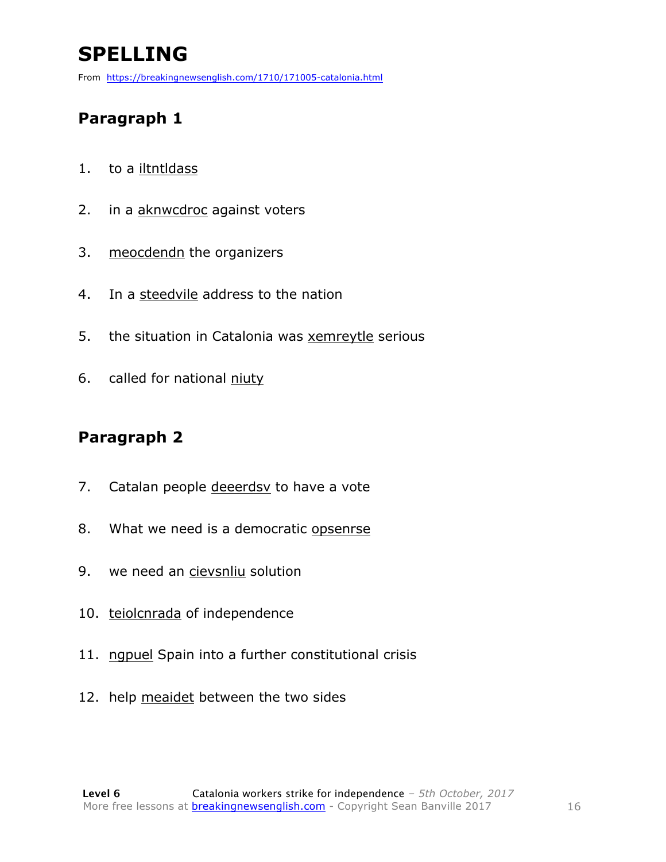# **SPELLING**

From https://breakingnewsenglish.com/1710/171005-catalonia.html

#### **Paragraph 1**

- 1. to a iltntldass
- 2. in a aknwcdroc against voters
- 3. meocdendn the organizers
- 4. In a steedvile address to the nation
- 5. the situation in Catalonia was xemreytle serious
- 6. called for national niuty

#### **Paragraph 2**

- 7. Catalan people deeerdsv to have a vote
- 8. What we need is a democratic opsenrse
- 9. we need an cievsnliu solution
- 10. teiolcnrada of independence
- 11. ngpuel Spain into a further constitutional crisis
- 12. help meaidet between the two sides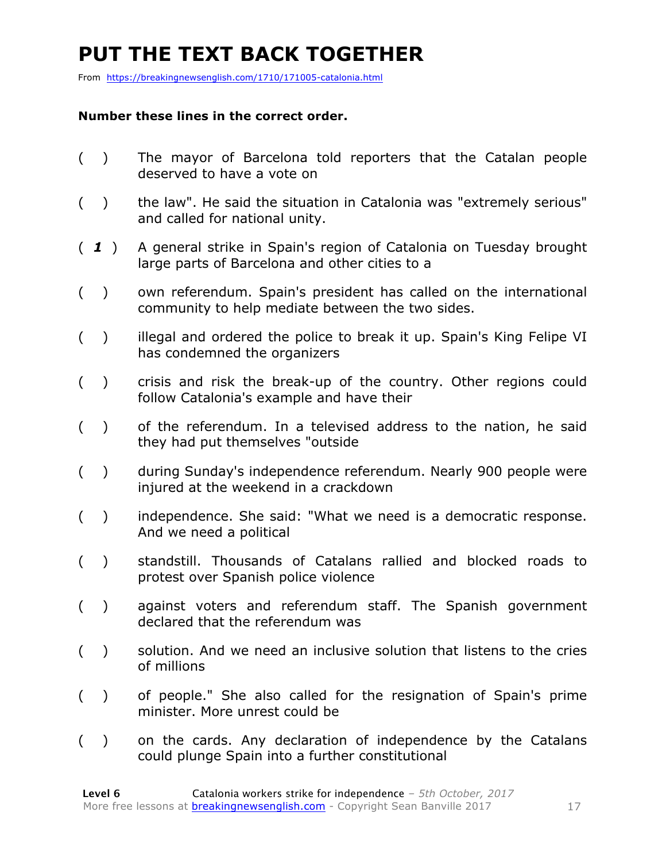### **PUT THE TEXT BACK TOGETHER**

From https://breakingnewsenglish.com/1710/171005-catalonia.html

#### **Number these lines in the correct order.**

- ( ) The mayor of Barcelona told reporters that the Catalan people deserved to have a vote on
- ( ) the law". He said the situation in Catalonia was "extremely serious" and called for national unity.
- ( *1* ) A general strike in Spain's region of Catalonia on Tuesday brought large parts of Barcelona and other cities to a
- ( ) own referendum. Spain's president has called on the international community to help mediate between the two sides.
- () illegal and ordered the police to break it up. Spain's King Felipe VI has condemned the organizers
- ( ) crisis and risk the break-up of the country. Other regions could follow Catalonia's example and have their
- ( ) of the referendum. In a televised address to the nation, he said they had put themselves "outside
- ( ) during Sunday's independence referendum. Nearly 900 people were injured at the weekend in a crackdown
- ( ) independence. She said: "What we need is a democratic response. And we need a political
- ( ) standstill. Thousands of Catalans rallied and blocked roads to protest over Spanish police violence
- ( ) against voters and referendum staff. The Spanish government declared that the referendum was
- ( ) solution. And we need an inclusive solution that listens to the cries of millions
- ( ) of people." She also called for the resignation of Spain's prime minister. More unrest could be
- ( ) on the cards. Any declaration of independence by the Catalans could plunge Spain into a further constitutional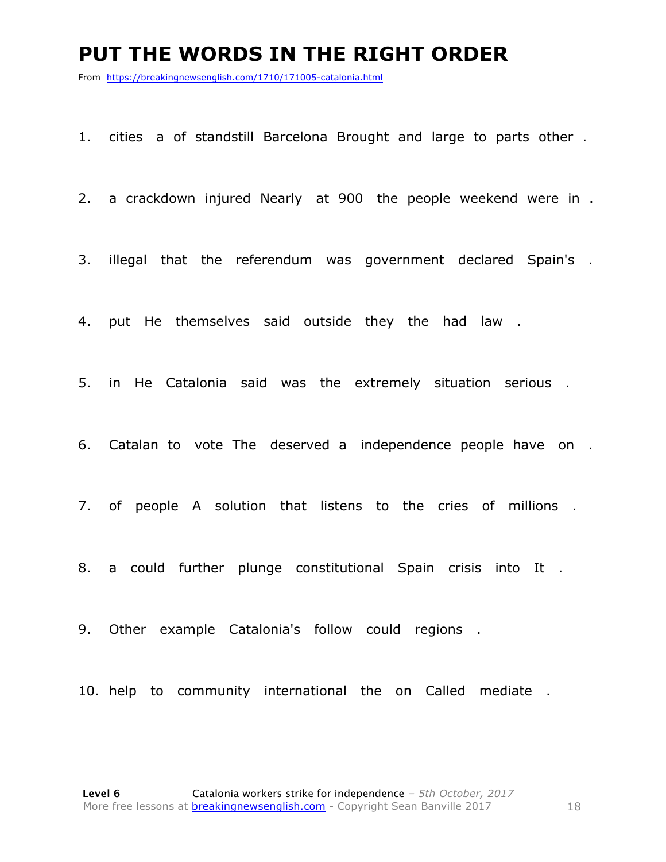#### **PUT THE WORDS IN THE RIGHT ORDER**

From https://breakingnewsenglish.com/1710/171005-catalonia.html

1. cities a of standstill Barcelona Brought and large to parts other .

2. a crackdown injured Nearly at 900 the people weekend were in .

3. illegal that the referendum was government declared Spain's .

4. put He themselves said outside they the had law .

5. in He Catalonia said was the extremely situation serious .

6. Catalan to vote The deserved a independence people have on .

7. of people A solution that listens to the cries of millions .

8. a could further plunge constitutional Spain crisis into It .

9. Other example Catalonia's follow could regions .

10. help to community international the on Called mediate .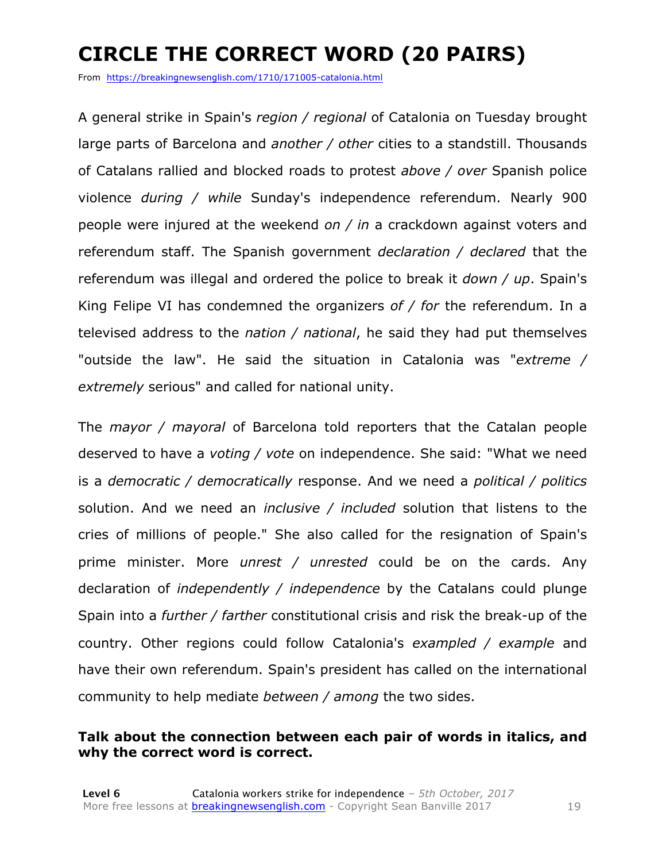# **CIRCLE THE CORRECT WORD (20 PAIRS)**

From https://breakingnewsenglish.com/1710/171005-catalonia.html

A general strike in Spain's *region / regional* of Catalonia on Tuesday brought large parts of Barcelona and *another / other* cities to a standstill. Thousands of Catalans rallied and blocked roads to protest *above / over* Spanish police violence *during / while* Sunday's independence referendum. Nearly 900 people were injured at the weekend *on / in* a crackdown against voters and referendum staff. The Spanish government *declaration / declared* that the referendum was illegal and ordered the police to break it *down / up*. Spain's King Felipe VI has condemned the organizers *of / for* the referendum. In a televised address to the *nation / national*, he said they had put themselves "outside the law". He said the situation in Catalonia was "*extreme / extremely* serious" and called for national unity.

The *mayor / mayoral* of Barcelona told reporters that the Catalan people deserved to have a *voting / vote* on independence. She said: "What we need is a *democratic / democratically* response. And we need a *political / politics* solution. And we need an *inclusive / included* solution that listens to the cries of millions of people." She also called for the resignation of Spain's prime minister. More *unrest / unrested* could be on the cards. Any declaration of *independently / independence* by the Catalans could plunge Spain into a *further / farther* constitutional crisis and risk the break-up of the country. Other regions could follow Catalonia's *exampled / example* and have their own referendum. Spain's president has called on the international community to help mediate *between / among* the two sides.

#### **Talk about the connection between each pair of words in italics, and why the correct word is correct.**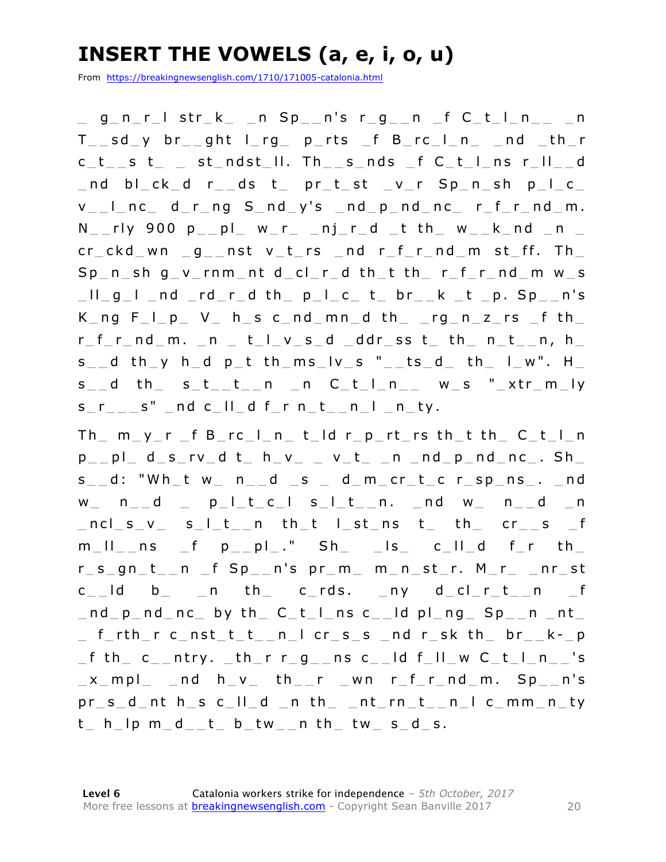### **INSERT THE VOWELS (a, e, i, o, u)**

From https://breakingnewsenglish.com/1710/171005-catalonia.html

 $\_$  g\_n\_r\_l str\_k\_ \_n Sp\_\_n's r\_g\_\_n \_f C\_t\_l\_n\_\_ \_n  $T$  sd y br ght  $l$  rg p\_ rts  $f$  B\_ rc  $l$  n  $-$  nd  $-th$  r c t s t st ndst II. Th s nds f C t I ns r II d  $\_$ nd bl $\_$ ck $\_$ d r $\_$ ds t $\_$  pr $\_$ t $\_$ st  $\_$ v $\_$ r Sp $\_$ n $\_$ sh p $\_$ l $\_$ c $\_$  $v_{-}$  $l_{-}$  nc $_{-}$  d $_{-}$ r $_{-}$ ng  $S_{-}$ nd $_{-}$ y's  $_{-}$ nd $_{-}$ nd $_{-}$ nc $_{-}$  r $_{-}$ f $_{-}$ r $_{-}$ nd $_{-}$ m.  $N_{-}$ rly 900 p $_{-}$ pl $_{-}$  w $_{-}$ r $_{-}$   $_{-}$ nj $_{-}$ r $_{-}$ d $_{-}$ t th $_{-}$  w $_{-}$ k $_{-}$ nd  $_{-}$ n $_{-}$  $cr\_ckd$  wn  $-g$  nst v t rs  $nd$  r f r  $nd$  m st ff. Th  $Sp_n$  sh g v\_rnm nt d\_cl\_r\_d th\_t th\_ r\_f\_r\_nd\_m w\_s  $\Box$   $\Box$   $g$   $\bot$   $\Box$   $nd$   $\Box$   $rd$   $\bot$   $r$   $\Box$   $d$   $th$   $\Box$   $p$   $\bot$   $c$   $\bot$   $c$   $\bot$   $c$   $\bot$   $c$   $\bot$   $c$   $\bot$   $c$   $\bot$   $c$   $\bot$   $c$   $\bot$   $c$   $\bot$   $c$   $\bot$   $c$   $\bot$   $c$   $\bot$   $c$   $\bot$   $c$   $\bot$   $c$   $\bot$   $c$   $\bot$   $c$  K ng F  $\vert$  p V h s c nd mn d th rg n z rs f th  $r$   $f$   $r$   $nd$   $m$ .  $n$   $t$   $l$   $v$   $s$   $d$   $ddr$   $ss$   $t$   $th$   $n$   $t$   $n$ ,  $h$  $s \_ d$  th y h d p t th ms  $\vert v \vert s$  "  $\vert t s \vert d$  th l  $\vert w \vert$ . H  $s$ <sub>\_</sub>\_d th\_ s\_t\_\_t\_\_n \_n C\_t\_l\_n\_\_ w\_s "\_xtr\_m\_ly  $s_r$   $r_{-}$   $s''$   $-$  nd c $11$   $-$  d  $f$   $-$  r  $n_{-}$   $t$   $n_{-}$   $t$   $n_{-}$   $t$   $y$ .

 $Th$   $m$   $y$   $r$   $f$   $B$   $rc$   $l$   $n$   $t$   $ld$   $r$   $p$   $rt$   $rs$   $th$   $t$   $th$   $C$   $t$   $l$   $n$  $p_{--}$ pl\_d\_s\_rv\_d t\_ h\_v\_ \_ v\_t\_ \_n \_nd\_p\_nd\_nc\_. Sh\_  $s_d$ : "Wh t w  $n_d$  d  $s_d$  d m cr t c r sp ns . and  $w_$  n d p l t c l s l t n. nd w n d n  $_{n}$ ncl  $s_{v}$  s  $_{n}$  s  $_{n}$  th  $_{n}$  th  $_{n}$  th  $_{n}$  th  $_{n}$  cr  $_{n}$  s  $_{n}$  f  $m_l = m_l$  m \_ f p \_ pl ." Sh \_ ls \_ c \_ ll d f \_ r th  $r_s_gn_t_1$ n f Sp\_\_n's pr\_m\_ m\_n\_st\_r. M\_r\_ \_nr\_st  $c$   $\Box$  ld  $b$   $\Box$  n th  $\Box$  c rds.  $\Box$  ny d  $\Box$  c  $\Box$  r  $\bot$   $\Box$  n  $\Box$  f  $\_$ nd  $\_$ p  $\_$ nd  $\_$ nc  $\_$  by th  $\_$  C $\_$ t  $\_$ l  $\_$ ns c $\_$   $\_$ ld  $p$ l  $\_$ ng  $\_$  Sp $\_$   $\_$ n  $\_$ nt $\_$  $\_$  f $\_$ rth $\_$ r c $\_$ nst $\_$ t $\_$ t $\_$ n $\_$ l cr $\_$ s $\_$ s  $\_$ nd r $\_$ sk th $\_$  br $\_$  $\_$ k $\_$ p  $_f$  th  $c$   $_{-}$ ntry.  $_{-}$ th  $_{-}$ r  $r$   $_{-}$ g $_{-}$ ns  $c$  $_{-}$ ld f $_{-}$ ll  $_{-}$  w  $C$  $_{-}$ t $_{-}$ l  $_{-}$ n $_{-}$ 's  $x$  mpl  $nd$  h  $v$  th  $r$  wn  $r$  f  $r$  nd  $m$ . Sp  $n's$ pr s d nt h s c ll d n th nt rn t n l c mm n ty  $t_$  h  $\vert$ p m  $d_$ - $t_$  b  $tw_$ n th  $tw_$  s  $d_$ s.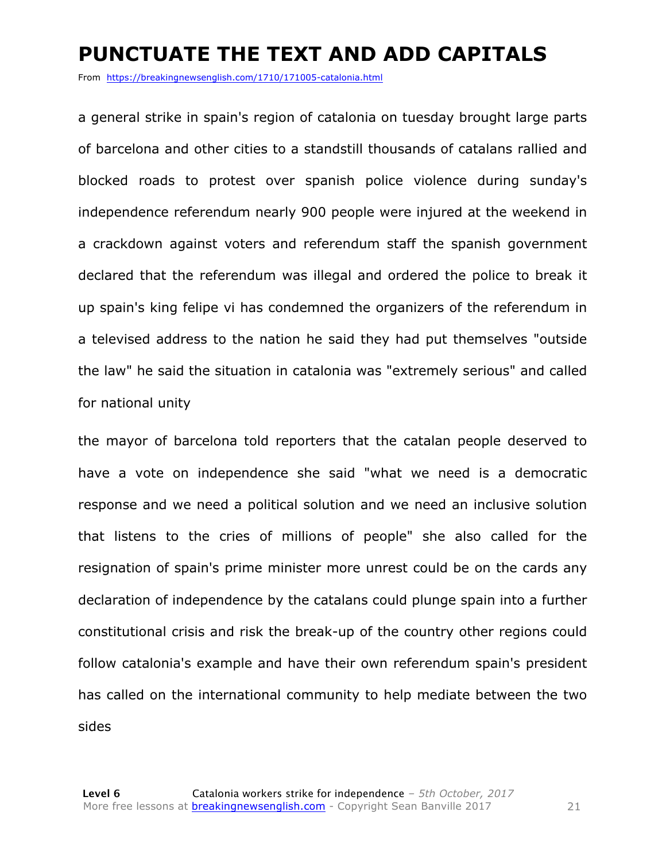#### **PUNCTUATE THE TEXT AND ADD CAPITALS**

From https://breakingnewsenglish.com/1710/171005-catalonia.html

a general strike in spain's region of catalonia on tuesday brought large parts of barcelona and other cities to a standstill thousands of catalans rallied and blocked roads to protest over spanish police violence during sunday's independence referendum nearly 900 people were injured at the weekend in a crackdown against voters and referendum staff the spanish government declared that the referendum was illegal and ordered the police to break it up spain's king felipe vi has condemned the organizers of the referendum in a televised address to the nation he said they had put themselves "outside the law" he said the situation in catalonia was "extremely serious" and called for national unity

the mayor of barcelona told reporters that the catalan people deserved to have a vote on independence she said "what we need is a democratic response and we need a political solution and we need an inclusive solution that listens to the cries of millions of people" she also called for the resignation of spain's prime minister more unrest could be on the cards any declaration of independence by the catalans could plunge spain into a further constitutional crisis and risk the break-up of the country other regions could follow catalonia's example and have their own referendum spain's president has called on the international community to help mediate between the two sides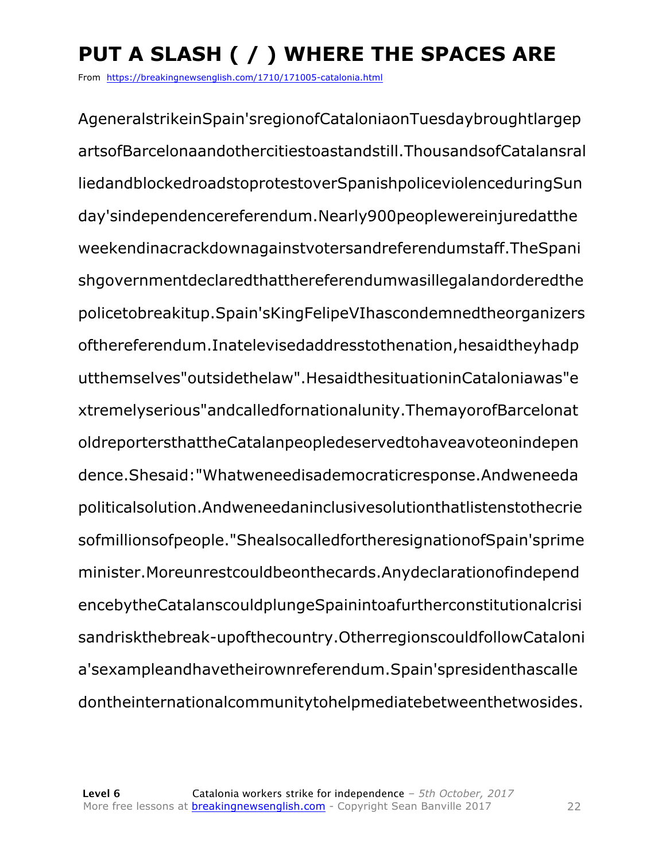# **PUT A SLASH ( / ) WHERE THE SPACES ARE**

From https://breakingnewsenglish.com/1710/171005-catalonia.html

AgeneralstrikeinSpain'sregionofCataloniaonTuesdaybroughtlargep artsofBarcelonaandothercitiestoastandstill.ThousandsofCatalansral liedandblockedroadstoprotestoverSpanishpoliceviolenceduringSun day'sindependencereferendum.Nearly900peoplewereinjuredatthe weekendinacrackdownagainstvotersandreferendumstaff.TheSpani shgovernmentdeclaredthatthereferendumwasillegalandorderedthe policetobreakitup.Spain'sKingFelipeVIhascondemnedtheorganizers ofthereferendum.Inatelevisedaddresstothenation,hesaidtheyhadp utthemselves"outsidethelaw".HesaidthesituationinCataloniawas"e xtremelyserious"andcalledfornationalunity.ThemayorofBarcelonat oldreportersthattheCatalanpeopledeservedtohaveavoteonindepen dence.Shesaid:"Whatweneedisademocraticresponse.Andweneeda politicalsolution.Andweneedaninclusivesolutionthatlistenstothecrie sofmillionsofpeople."ShealsocalledfortheresignationofSpain'sprime minister.Moreunrestcouldbeonthecards.Anydeclarationofindepend encebytheCatalanscouldplungeSpainintoafurtherconstitutionalcrisi sandriskthebreak-upofthecountry.OtherregionscouldfollowCataloni a'sexampleandhavetheirownreferendum.Spain'spresidenthascalle dontheinternationalcommunitytohelpmediatebetweenthetwosides.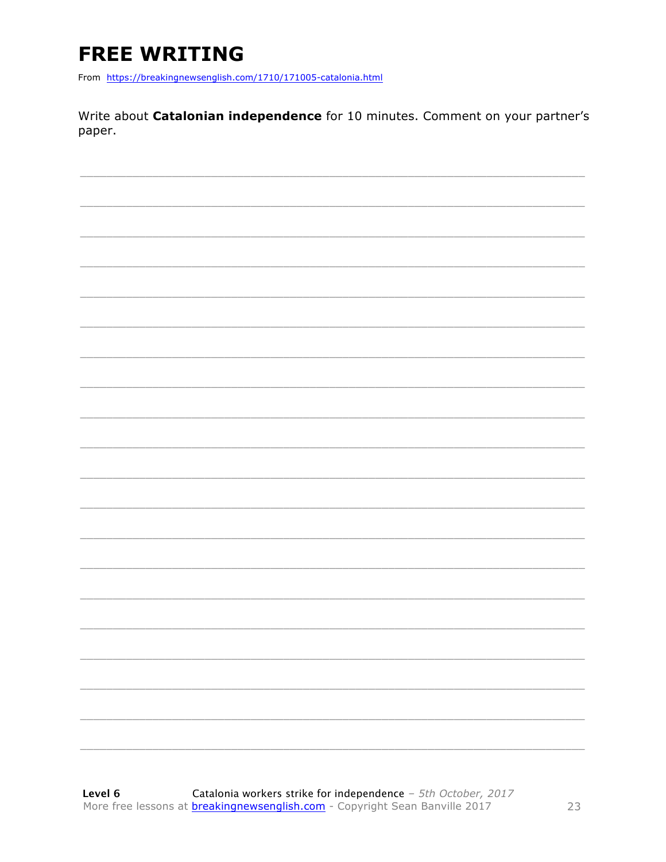# **FREE WRITING**

From https://breakingnewsenglish.com/1710/171005-catalonia.html

Write about Catalonian independence for 10 minutes. Comment on your partner's paper.

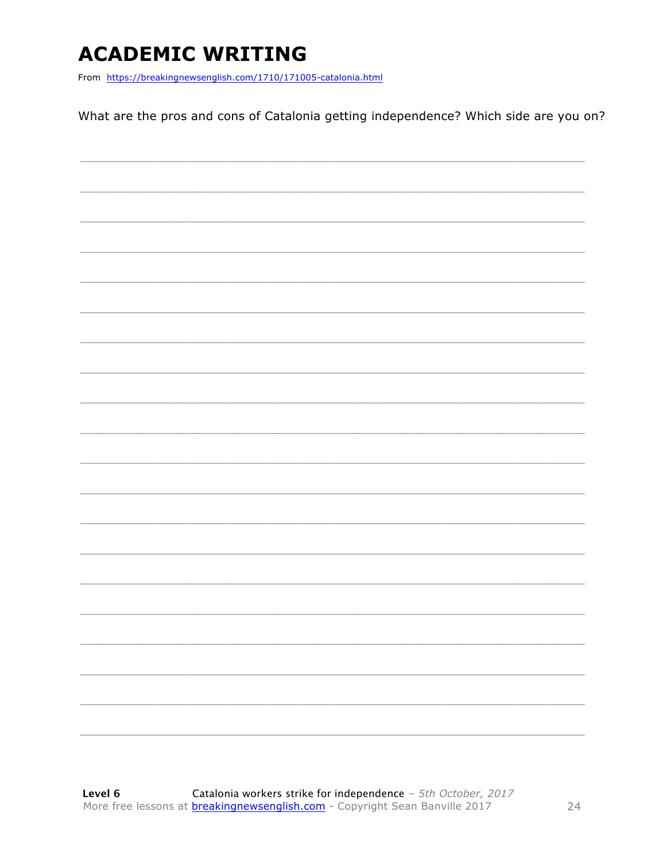### **ACADEMIC WRITING**

From https://breakingnewsenglish.com/1710/171005-catalonia.html

What are the pros and cons of Catalonia getting independence? Which side are you on?

|  | $\frac{1}{1}$ |
|--|---------------|
|  |               |
|  |               |
|  |               |
|  |               |
|  |               |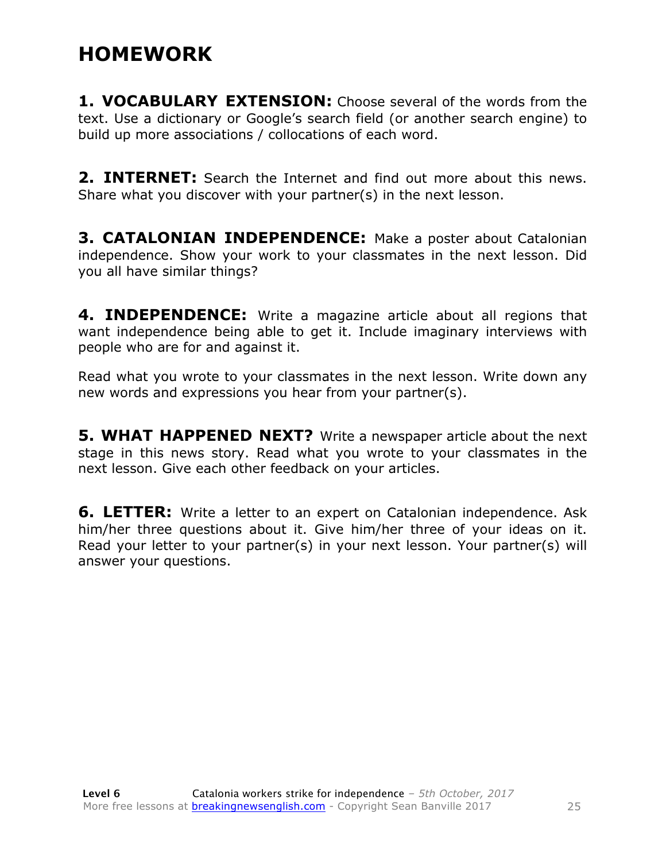#### **HOMEWORK**

**1. VOCABULARY EXTENSION:** Choose several of the words from the text. Use a dictionary or Google's search field (or another search engine) to build up more associations / collocations of each word.

**2. INTERNET:** Search the Internet and find out more about this news. Share what you discover with your partner(s) in the next lesson.

**3. CATALONIAN INDEPENDENCE:** Make a poster about Catalonian independence. Show your work to your classmates in the next lesson. Did you all have similar things?

**4. INDEPENDENCE:** Write a magazine article about all regions that want independence being able to get it. Include imaginary interviews with people who are for and against it.

Read what you wrote to your classmates in the next lesson. Write down any new words and expressions you hear from your partner(s).

**5. WHAT HAPPENED NEXT?** Write a newspaper article about the next stage in this news story. Read what you wrote to your classmates in the next lesson. Give each other feedback on your articles.

**6. LETTER:** Write a letter to an expert on Catalonian independence. Ask him/her three questions about it. Give him/her three of your ideas on it. Read your letter to your partner(s) in your next lesson. Your partner(s) will answer your questions.